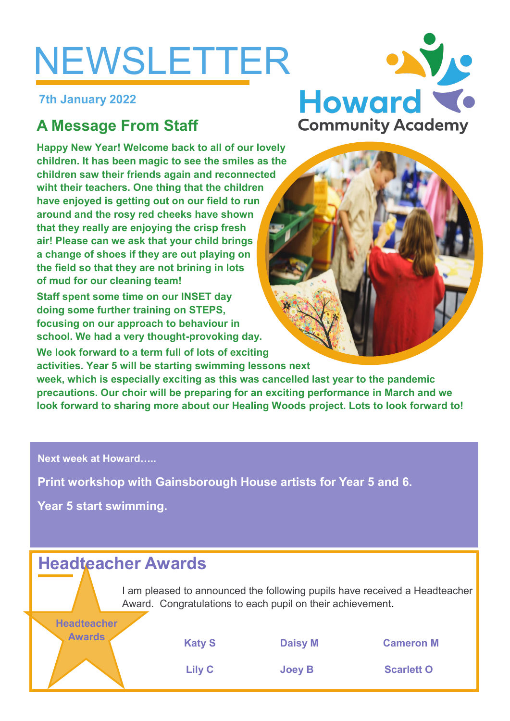# NEWSLETTER

**7th January 2022**

## **A Message From Staff**

**Happy New Year! Welcome back to all of our lovely children. It has been magic to see the smiles as the children saw their friends again and reconnected wiht their teachers. One thing that the children have enjoyed is getting out on our field to run around and the rosy red cheeks have shown that they really are enjoying the crisp fresh air! Please can we ask that your child brings a change of shoes if they are out playing on the field so that they are not brining in lots of mud for our cleaning team!**

**Staff spent some time on our INSET day doing some further training on STEPS, focusing on our approach to behaviour in school. We had a very thought-provoking day.**

**We look forward to a term full of lots of exciting activities. Year 5 will be starting swimming lessons next** 

**week, which is especially exciting as this was cancelled last year to the pandemic precautions. Our choir will be preparing for an exciting performance in March and we look forward to sharing more about our Healing Woods project. Lots to look forward to!**

**Next week at Howard…..**

**Print workshop with Gainsborough House artists for Year 5 and 6.**

**Year 5 start swimming.**

**Headteacher** 

## **Headteacher Awards**

I am pleased to announced the following pupils have received a Headteacher Award. Congratulations to each pupil on their achievement.



**Awards Katy S Daisy M Cameron M**

**Lily C Joey B Scarlett O**